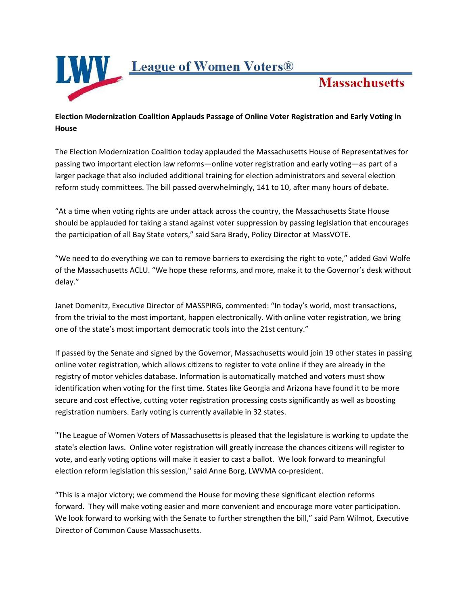

## **Election Modernization Coalition Applauds Passage of Online Voter Registration and Early Voting in House**

**Massachusetts** 

The Election Modernization Coalition today applauded the Massachusetts House of Representatives for passing two important election law reforms—online voter registration and early voting—as part of a larger package that also included additional training for election administrators and several election reform study committees. The bill passed overwhelmingly, 141 to 10, after many hours of debate.

"At a time when voting rights are under attack across the country, the Massachusetts State House should be applauded for taking a stand against voter suppression by passing legislation that encourages the participation of all Bay State voters," said Sara Brady, Policy Director at MassVOTE.

"We need to do everything we can to remove barriers to exercising the right to vote," added Gavi Wolfe of the Massachusetts ACLU. "We hope these reforms, and more, make it to the Governor's desk without delay."

Janet Domenitz, Executive Director of MASSPIRG, commented: "In today's world, most transactions, from the trivial to the most important, happen electronically. With online voter registration, we bring one of the state's most important democratic tools into the 21st century."

If passed by the Senate and signed by the Governor, Massachusetts would join 19 other states in passing online voter registration, which allows citizens to register to vote online if they are already in the registry of motor vehicles database. Information is automatically matched and voters must show identification when voting for the first time. States like Georgia and Arizona have found it to be more secure and cost effective, cutting voter registration processing costs significantly as well as boosting registration numbers. Early voting is currently available in 32 states.

"The League of Women Voters of Massachusetts is pleased that the legislature is working to update the state's election laws. Online voter registration will greatly increase the chances citizens will register to vote, and early voting options will make it easier to cast a ballot. We look forward to meaningful election reform legislation this session," said Anne Borg, LWVMA co-president.

"This is a major victory; we commend the House for moving these significant election reforms forward. They will make voting easier and more convenient and encourage more voter participation. We look forward to working with the Senate to further strengthen the bill," said Pam Wilmot, Executive Director of Common Cause Massachusetts.